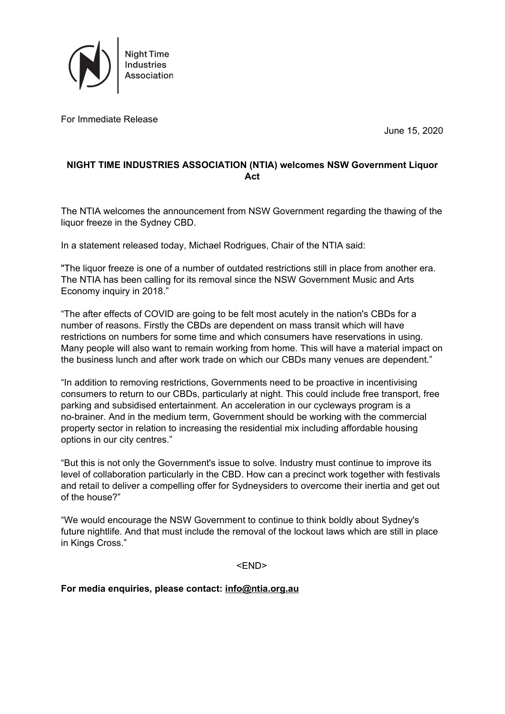

For Immediate Release

June 15, 2020

## **NIGHT TIME INDUSTRIES ASSOCIATION (NTIA) welcomes NSW Government Liquor Act**

The NTIA welcomes the announcement from NSW Government regarding the thawing of the liquor freeze in the Sydney CBD.

In a statement released today, Michael Rodrigues, Chair of the NTIA said:

"The liquor freeze is one of a number of outdated restrictions still in place from another era. The NTIA has been calling for its removal since the NSW Government Music and Arts Economy inquiry in 2018."

"The after effects of COVID are going to be felt most acutely in the nation's CBDs for a number of reasons. Firstly the CBDs are dependent on mass transit which will have restrictions on numbers for some time and which consumers have reservations in using. Many people will also want to remain working from home. This will have a material impact on the business lunch and after work trade on which our CBDs many venues are dependent."

"In addition to removing restrictions, Governments need to be proactive in incentivising consumers to return to our CBDs, particularly at night. This could include free transport, free parking and subsidised entertainment. An acceleration in our cycleways program is a no-brainer. And in the medium term, Government should be working with the commercial property sector in relation to increasing the residential mix including affordable housing options in our city centres."

"But this is not only the Government's issue to solve. Industry must continue to improve its level of collaboration particularly in the CBD. How can a precinct work together with festivals and retail to deliver a compelling offer for Sydneysiders to overcome their inertia and get out of the house?"

"We would encourage the NSW Government to continue to think boldly about Sydney's future nightlife. And that must include the removal of the lockout laws which are still in place in Kings Cross."

<END>

**For media enquiries, please contact: [info@ntia.org.au](mailto:info@ntia.org.au)**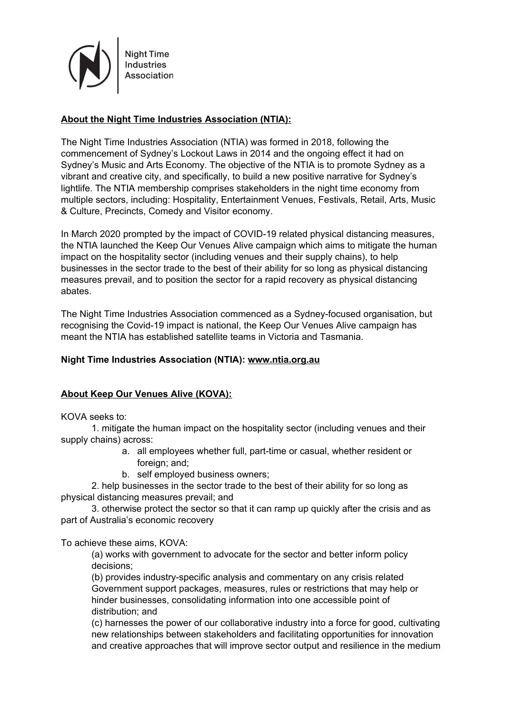

**Night Time** Industries **Association** 

## **About the Night Time Industries Association (NTIA):**

The Night Time Industries Association (NTIA) was formed in 2018, following the commencement of Sydney's Lockout Laws in 2014 and the ongoing effect it had on Sydney's Music and Arts Economy. The objective of the NTIA is to promote Sydney as a vibrant and creative city, and specifically, to build a new positive narrative for Sydney's lightlife. The NTIA membership comprises stakeholders in the night time economy from multiple sectors, including: Hospitality, Entertainment Venues, Festivals, Retail, Arts, Music & Culture, Precincts, Comedy and Visitor economy.

In March 2020 prompted by the impact of COVID-19 related physical distancing measures, the NTIA launched the Keep Our Venues Alive campaign which aims to mitigate the human impact on the hospitality sector (including venues and their supply chains), to help businesses in the sector trade to the best of their ability for so long as physical distancing measures prevail, and to position the sector for a rapid recovery as physical distancing abates.

The Night Time Industries Association commenced as a Sydney-focused organisation, but recognising the Covid-19 impact is national, the Keep Our Venues Alive campaign has meant the NTIA has established satellite teams in Victoria and Tasmania.

## **Night Time Industries Association (NTIA): [www.ntia.org.au](https://ntia.org.au/)**

## **About Keep Our Venues Alive (KOVA):**

KOVA seeks to:

1. mitigate the human impact on the hospitality sector (including venues and their supply chains) across:

- a. all employees whether full, part-time or casual, whether resident or foreign; and;
- b. self employed business owners;

2. help businesses in the sector trade to the best of their ability for so long as physical distancing measures prevail; and

3. otherwise protect the sector so that it can ramp up quickly after the crisis and as part of Australia's economic recovery

To achieve these aims, KOVA:

(a) works with government to advocate for the sector and better inform policy decisions;

(b) provides industry-specific analysis and commentary on any crisis related Government support packages, measures, rules or restrictions that may help or hinder businesses, consolidating information into one accessible point of distribution; and

(c) harnesses the power of our collaborative industry into a force for good, cultivating new relationships between stakeholders and facilitating opportunities for innovation and creative approaches that will improve sector output and resilience in the medium